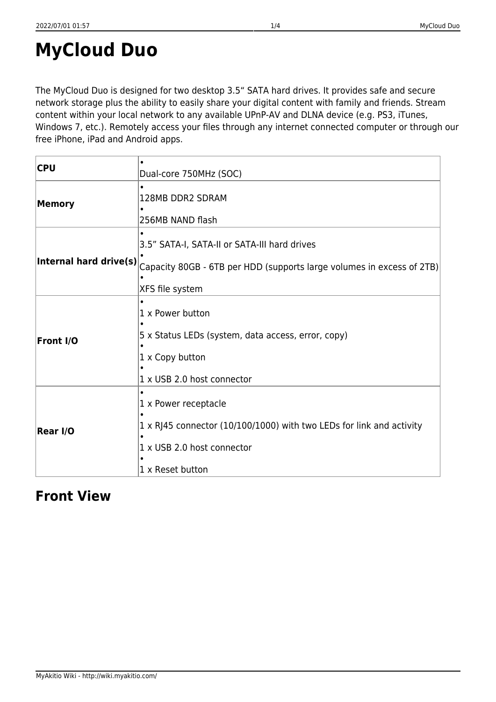# **MyCloud Duo**

The MyCloud Duo is designed for two desktop 3.5" SATA hard drives. It provides safe and secure network storage plus the ability to easily share your digital content with family and friends. Stream content within your local network to any available UPnP-AV and DLNA device (e.g. PS3, iTunes, Windows 7, etc.). Remotely access your files through any internet connected computer or through our free iPhone, iPad and Android apps.

| <b>CPU</b>                                                                                                                                                         |                                                                                                                                                |
|--------------------------------------------------------------------------------------------------------------------------------------------------------------------|------------------------------------------------------------------------------------------------------------------------------------------------|
|                                                                                                                                                                    | Dual-core 750MHz (SOC)                                                                                                                         |
| <b>Memory</b>                                                                                                                                                      | 128MB DDR2 SDRAM<br>256MB NAND flash                                                                                                           |
| 3.5" SATA-I, SATA-II or SATA-III hard drives<br>Internal hard drive(s)<br>Capacity 80GB - 6TB per HDD (supports large volumes in excess of 2TB)<br>XFS file system |                                                                                                                                                |
| 1 x Power button<br>5 x Status LEDs (system, data access, error, copy)<br>Front I/O<br>1 x Copy button<br>1 x USB 2.0 host connector                               |                                                                                                                                                |
| Rear I/O                                                                                                                                                           | 1 x Power receptacle<br>1 x RJ45 connector (10/100/1000) with two LEDs for link and activity<br>1 x USB 2.0 host connector<br>1 x Reset button |

#### **Front View**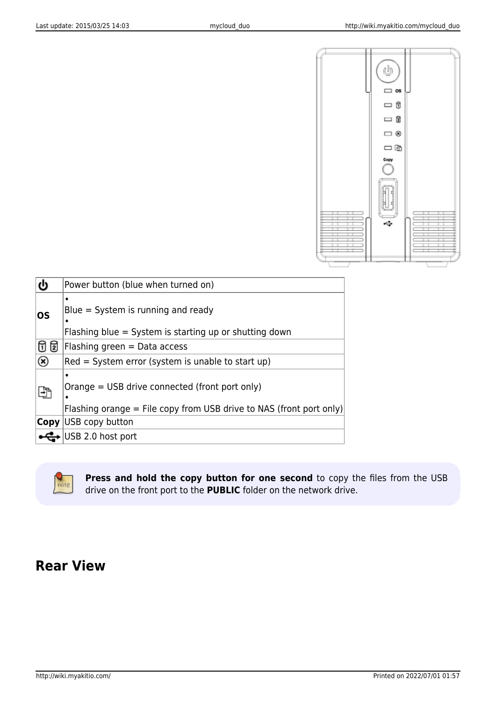

| ტ   | Power button (blue when turned on)                                                                                    |  |
|-----|-----------------------------------------------------------------------------------------------------------------------|--|
| los | ٠<br>$Blue = System$ is running and ready<br>Flashing blue = System is starting up or shutting down                   |  |
| ថ ផ | Flashing green = Data access                                                                                          |  |
| ⊛   | Red = System error (system is unable to start up)                                                                     |  |
| 岼   | Orange = USB drive connected (front port only)<br>Flashing orange = File copy from USB drive to NAS (front port only) |  |
|     | <b>Copy</b> USB copy button                                                                                           |  |
|     | USB 2.0 host port                                                                                                     |  |



**Press and hold the copy button for one second** to copy the files from the USB drive on the front port to the **PUBLIC** folder on the network drive.

## **Rear View**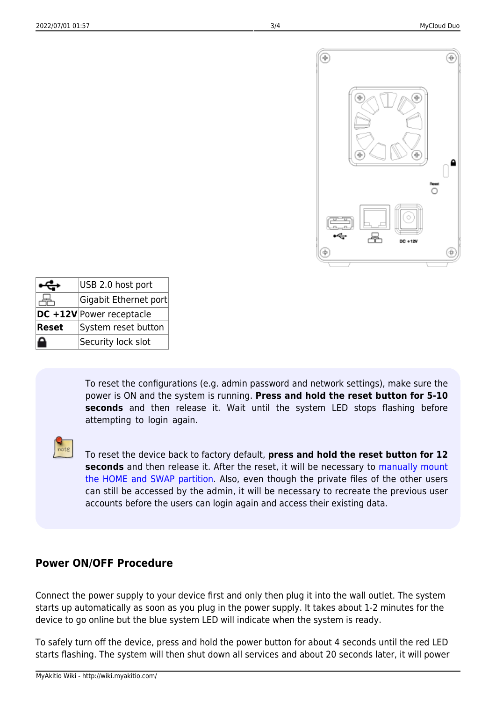

|              | USB 2.0 host port        |
|--------------|--------------------------|
|              | Gigabit Ethernet port    |
|              | DC +12V Power receptacle |
| <b>Reset</b> | System reset button      |
|              | Security lock slot       |

To reset the configurations (e.g. admin password and network settings), make sure the power is ON and the system is running. **Press and hold the reset button for 5-10 seconds** and then release it. Wait until the system LED stops flashing before attempting to login again.

![](_page_2_Picture_6.jpeg)

To reset the device back to factory default, **press and hold the reset button for 12 seconds** and then release it. After the reset, it will be necessary to [manually mount](http://wiki.myakitio.com/howto#how_to_mount_existing_partitions) [the HOME and SWAP partition](http://wiki.myakitio.com/howto#how_to_mount_existing_partitions). Also, even though the private files of the other users can still be accessed by the admin, it will be necessary to recreate the previous user accounts before the users can login again and access their existing data.

#### **Power ON/OFF Procedure**

Connect the power supply to your device first and only then plug it into the wall outlet. The system starts up automatically as soon as you plug in the power supply. It takes about 1-2 minutes for the device to go online but the blue system LED will indicate when the system is ready.

To safely turn off the device, press and hold the power button for about 4 seconds until the red LED starts flashing. The system will then shut down all services and about 20 seconds later, it will power